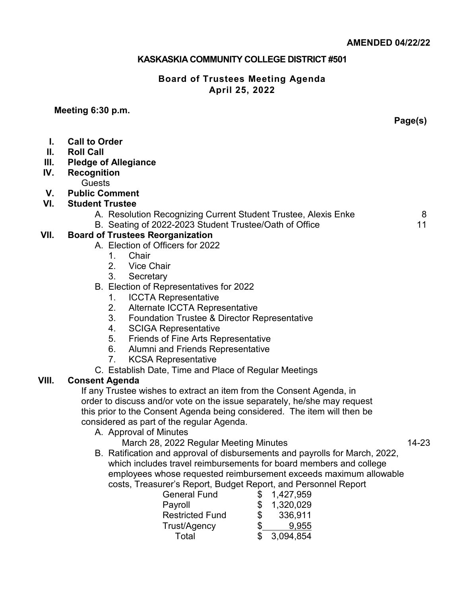#### **KASKASKIA COMMUNITY COLLEGE DISTRICT #501**

#### **Board of Trustees Meeting Agenda April 25, 2022**

**Meeting 6:30 p.m.**

**Page(s)**

- **I. Call to Order**
- **II. Roll Call**
- **III. Pledge of Allegiance**
- **IV. Recognition**
- **Guests**
- **V. Public Comment**
- **VI. Student Trustee**
	- A. Resolution Recognizing Current Student Trustee, Alexis Enke 8
	- B. Seating of 2022-2023 Student Trustee/Oath of Office 11

## **VII. Board of Trustees Reorganization**

- A. Election of Officers for 2022
	- 1. Chair<br>2. Vice 0
	- **Vice Chair**
	- 3. Secretary
- B. Election of Representatives for 2022
	- 1. ICCTA Representative
	- 2. Alternate ICCTA Representative
	- 3. Foundation Trustee & Director Representative
	- 4. SCIGA Representative
	- 5. Friends of Fine Arts Representative
	- 6. Alumni and Friends Representative
	- 7. KCSA Representative
- C. Establish Date, Time and Place of Regular Meetings

## **VIII. Consent Agenda**

If any Trustee wishes to extract an item from the Consent Agenda, in order to discuss and/or vote on the issue separately, he/she may request this prior to the Consent Agenda being considered. The item will then be considered as part of the regular Agenda.

- A. Approval of Minutes
	- March 28, 2022 Regular Meeting Minutes 14-23
- B. Ratification and approval of disbursements and payrolls for March, 2022, which includes travel reimbursements for board members and college employees whose requested reimbursement exceeds maximum allowable costs, Treasurer's Report, Budget Report, and Personnel Report

| <b>General Fund</b>    | 1,427,959     |
|------------------------|---------------|
| Payroll                | 1,320,029     |
| <b>Restricted Fund</b> | \$<br>336,911 |
| Trust/Agency           | \$<br>9.955   |
| Total                  | \$3,094,854   |
|                        |               |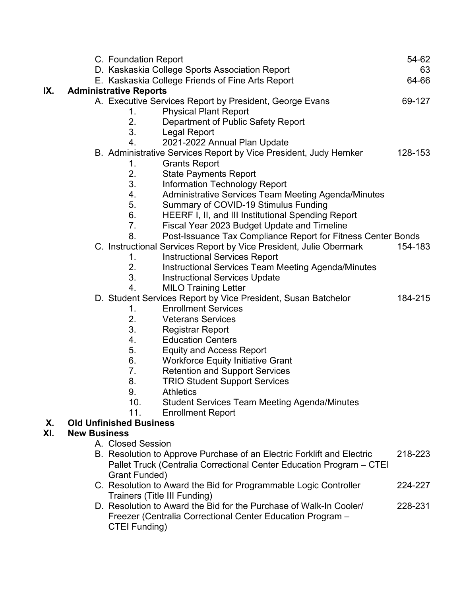|     |                                                                  | C. Foundation Report                             |                                                                        | 54-62   |  |
|-----|------------------------------------------------------------------|--------------------------------------------------|------------------------------------------------------------------------|---------|--|
|     |                                                                  | D. Kaskaskia College Sports Association Report   |                                                                        | 63      |  |
|     |                                                                  | E. Kaskaskia College Friends of Fine Arts Report |                                                                        | 64-66   |  |
| IX. | <b>Administrative Reports</b>                                    |                                                  |                                                                        |         |  |
|     | A. Executive Services Report by President, George Evans          |                                                  |                                                                        | 69-127  |  |
|     |                                                                  | <b>Physical Plant Report</b><br>1.               |                                                                        |         |  |
|     |                                                                  | 2.                                               | Department of Public Safety Report                                     |         |  |
|     |                                                                  | 3.<br><b>Legal Report</b>                        |                                                                        |         |  |
|     |                                                                  | 4.<br>2021-2022 Annual Plan Update               |                                                                        |         |  |
|     | B. Administrative Services Report by Vice President, Judy Hemker |                                                  |                                                                        |         |  |
|     |                                                                  | <b>Grants Report</b><br>1.                       |                                                                        |         |  |
|     |                                                                  | 2.<br><b>State Payments Report</b>               |                                                                        |         |  |
|     |                                                                  | 3.<br><b>Information Technology Report</b>       |                                                                        |         |  |
|     |                                                                  | 4.                                               | Administrative Services Team Meeting Agenda/Minutes                    |         |  |
|     |                                                                  | 5.                                               | Summary of COVID-19 Stimulus Funding                                   |         |  |
|     |                                                                  | 6.                                               | HEERF I, II, and III Institutional Spending Report                     |         |  |
|     |                                                                  | 7.                                               | Fiscal Year 2023 Budget Update and Timeline                            |         |  |
|     |                                                                  | 8.                                               | Post-Issuance Tax Compliance Report for Fitness Center Bonds           |         |  |
|     |                                                                  |                                                  | C. Instructional Services Report by Vice President, Julie Obermark     | 154-183 |  |
|     |                                                                  | <b>Instructional Services Report</b><br>1.       |                                                                        |         |  |
|     |                                                                  | 2.                                               | Instructional Services Team Meeting Agenda/Minutes                     |         |  |
|     |                                                                  | 3.<br><b>Instructional Services Update</b>       |                                                                        |         |  |
|     |                                                                  | 4.<br><b>MILO Training Letter</b>                |                                                                        |         |  |
|     |                                                                  |                                                  | D. Student Services Report by Vice President, Susan Batchelor          | 184-215 |  |
|     |                                                                  | <b>Enrollment Services</b><br>1.                 |                                                                        |         |  |
|     |                                                                  | 2.<br><b>Veterans Services</b>                   |                                                                        |         |  |
|     |                                                                  | 3.<br><b>Registrar Report</b>                    |                                                                        |         |  |
|     |                                                                  | 4.<br><b>Education Centers</b>                   |                                                                        |         |  |
|     |                                                                  | 5.<br><b>Equity and Access Report</b>            |                                                                        |         |  |
|     |                                                                  | 6.<br><b>Workforce Equity Initiative Grant</b>   |                                                                        |         |  |
|     |                                                                  | 7.<br><b>Retention and Support Services</b>      |                                                                        |         |  |
|     |                                                                  | <b>TRIO Student Support Services</b><br>8.       |                                                                        |         |  |
|     |                                                                  | 9.<br><b>Athletics</b>                           |                                                                        |         |  |
|     |                                                                  | 10 <sub>1</sub>                                  | <b>Student Services Team Meeting Agenda/Minutes</b>                    |         |  |
|     |                                                                  | 11.<br><b>Enrollment Report</b>                  |                                                                        |         |  |
| Χ.  |                                                                  | <b>Old Unfinished Business</b>                   |                                                                        |         |  |
| XI. | <b>New Business</b>                                              |                                                  |                                                                        |         |  |
|     |                                                                  | A. Closed Session                                |                                                                        |         |  |
|     |                                                                  |                                                  | B. Resolution to Approve Purchase of an Electric Forklift and Electric | 218-223 |  |
|     |                                                                  |                                                  | Pallet Truck (Centralia Correctional Center Education Program – CTEI   |         |  |
|     |                                                                  | Grant Funded)                                    |                                                                        |         |  |
|     |                                                                  |                                                  | C. Resolution to Award the Bid for Programmable Logic Controller       | 224-227 |  |
|     |                                                                  | Trainers (Title III Funding)                     |                                                                        |         |  |
|     |                                                                  |                                                  | D. Resolution to Award the Bid for the Purchase of Walk-In Cooler/     | 228-231 |  |
|     |                                                                  |                                                  | Freezer (Centralia Correctional Center Education Program -             |         |  |
|     |                                                                  | CTEI Funding)                                    |                                                                        |         |  |
|     |                                                                  |                                                  |                                                                        |         |  |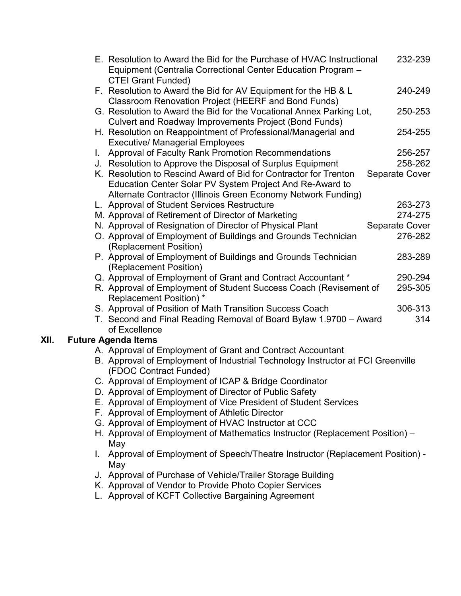|      |                                                                                                                                                           | E. Resolution to Award the Bid for the Purchase of HVAC Instructional<br>Equipment (Centralia Correctional Center Education Program -          |                |
|------|-----------------------------------------------------------------------------------------------------------------------------------------------------------|------------------------------------------------------------------------------------------------------------------------------------------------|----------------|
|      | <b>CTEI Grant Funded)</b><br>F. Resolution to Award the Bid for AV Equipment for the HB & L<br><b>Classroom Renovation Project (HEERF and Bond Funds)</b> |                                                                                                                                                | 240-249        |
|      |                                                                                                                                                           | G. Resolution to Award the Bid for the Vocational Annex Parking Lot,<br><b>Culvert and Roadway Improvements Project (Bond Funds)</b>           | 250-253        |
|      |                                                                                                                                                           | H. Resolution on Reappointment of Professional/Managerial and<br><b>Executive/ Managerial Employees</b>                                        | 254-255        |
|      | Approval of Faculty Rank Promotion Recommendations<br>L.                                                                                                  |                                                                                                                                                | 256-257        |
|      |                                                                                                                                                           | J. Resolution to Approve the Disposal of Surplus Equipment                                                                                     | 258-262        |
|      |                                                                                                                                                           | K. Resolution to Rescind Award of Bid for Contractor for Trenton<br>Separate Cover<br>Education Center Solar PV System Project And Re-Award to |                |
|      |                                                                                                                                                           | Alternate Contractor (Illinois Green Economy Network Funding)                                                                                  |                |
|      |                                                                                                                                                           | L. Approval of Student Services Restructure                                                                                                    | 263-273        |
|      |                                                                                                                                                           | M. Approval of Retirement of Director of Marketing                                                                                             | 274-275        |
|      |                                                                                                                                                           | N. Approval of Resignation of Director of Physical Plant                                                                                       | Separate Cover |
|      |                                                                                                                                                           | O. Approval of Employment of Buildings and Grounds Technician<br>(Replacement Position)                                                        | 276-282        |
|      |                                                                                                                                                           | P. Approval of Employment of Buildings and Grounds Technician<br>(Replacement Position)                                                        | 283-289        |
|      |                                                                                                                                                           | Q. Approval of Employment of Grant and Contract Accountant *                                                                                   | 290-294        |
|      |                                                                                                                                                           | R. Approval of Employment of Student Success Coach (Revisement of<br><b>Replacement Position)*</b>                                             | 295-305        |
|      |                                                                                                                                                           | S. Approval of Position of Math Transition Success Coach                                                                                       | 306-313        |
|      |                                                                                                                                                           | T. Second and Final Reading Removal of Board Bylaw 1.9700 - Award<br>of Excellence                                                             | 314            |
| XII. |                                                                                                                                                           | <b>Future Agenda Items</b>                                                                                                                     |                |
|      |                                                                                                                                                           | A. Approval of Employment of Grant and Contract Accountant                                                                                     |                |
|      |                                                                                                                                                           | B. Approval of Employment of Industrial Technology Instructor at FCI Greenville<br>(FDOC Contract Funded)                                      |                |
|      |                                                                                                                                                           | C. Approval of Employment of ICAP & Bridge Coordinator                                                                                         |                |
|      |                                                                                                                                                           | D. Approval of Employment of Director of Public Safety                                                                                         |                |
|      |                                                                                                                                                           | E. Approval of Employment of Vice President of Student Services                                                                                |                |
|      |                                                                                                                                                           | F. Approval of Employment of Athletic Director                                                                                                 |                |
|      |                                                                                                                                                           | G. Approval of Employment of HVAC Instructor at CCC                                                                                            |                |
|      |                                                                                                                                                           | H. Approval of Employment of Mathematics Instructor (Replacement Position) –<br>May                                                            |                |
|      |                                                                                                                                                           | Approval of Employment of Speech/Theatre Instructor (Replacement Position) -<br>May                                                            |                |
|      |                                                                                                                                                           | J. Approval of Purchase of Vehicle/Trailer Storage Building                                                                                    |                |
|      |                                                                                                                                                           | K. Approval of Vendor to Provide Photo Copier Services                                                                                         |                |
|      |                                                                                                                                                           | Approval of KCET Collective Perseiping Agreement                                                                                               |                |

L. Approval of KCFT Collective Bargaining Agreement